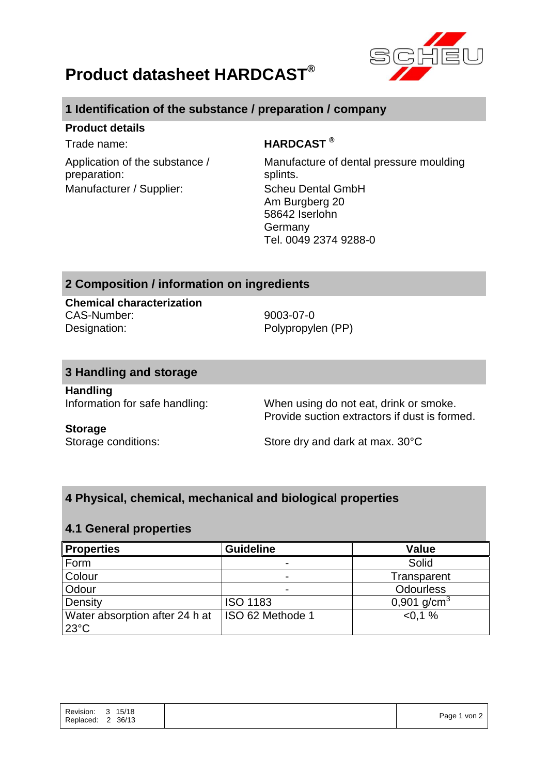

# **Product datasheet HARDCAST®**

# **1 Identification of the substance / preparation / company**

## **Product details**

Application of the substance / preparation: Manufacturer / Supplier: Scheu Dental GmbH

## Trade name: **HARDCAST ®**

Manufacture of dental pressure moulding splints. Am Burgberg 20 58642 Iserlohn Germany Tel. 0049 2374 9288-0

# **2 Composition / information on ingredients**

**Chemical characterization** CAS-Number: 9003-07-0 Designation: Polypropylen (PP)

## **3 Handling and storage**

**Handling**

Information for safe handling: When using do not eat, drink or smoke. Provide suction extractors if dust is formed.

### **Storage**

Storage conditions: Store dry and dark at max. 30°C

# **4 Physical, chemical, mechanical and biological properties**

## **4.1 General properties**

| <b>Properties</b>                                | <b>Guideline</b> | <b>Value</b>     |
|--------------------------------------------------|------------------|------------------|
| Form                                             |                  | Solid            |
| Colour                                           | -                | Transparent      |
| Odour                                            | -                | <b>Odourless</b> |
| Density                                          | <b>ISO 1183</b>  | 0,901 $q/cm3$    |
| Water absorption after 24 h at<br>$23^{\circ}$ C | ISO 62 Methode 1 | $< 0.1 \%$       |

|--|